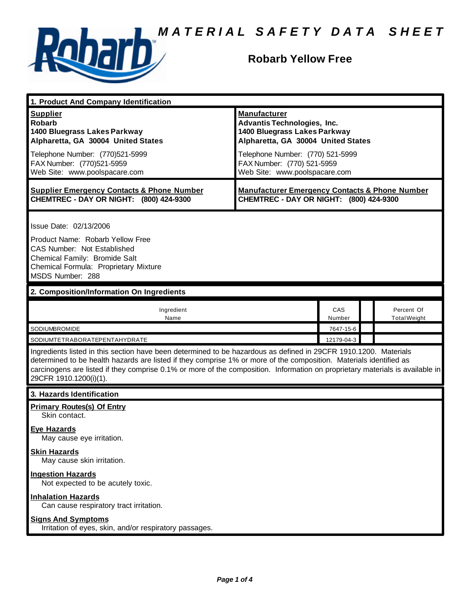

### **Robarb Yellow Free**

| 1. Product And Company Identification                                                                                                                                                                                                                                                                                                                                                             |                                                                                                                                                                                                                                    |               |  |                                   |  |
|---------------------------------------------------------------------------------------------------------------------------------------------------------------------------------------------------------------------------------------------------------------------------------------------------------------------------------------------------------------------------------------------------|------------------------------------------------------------------------------------------------------------------------------------------------------------------------------------------------------------------------------------|---------------|--|-----------------------------------|--|
| <b>Supplier</b><br><b>Robarb</b><br>1400 Bluegrass Lakes Parkway<br>Alpharetta, GA 30004 United States<br>Telephone Number: (770)521-5999<br>FAX Number: (770)521-5959<br>Web Site: www.poolspacare.com                                                                                                                                                                                           | <b>Manufacturer</b><br><b>Advantis Technologies, Inc.</b><br>1400 Bluegrass Lakes Parkway<br>Alpharetta, GA 30004 United States<br>Telephone Number: (770) 521-5999<br>FAX Number: (770) 521-5959<br>Web Site: www.poolspacare.com |               |  |                                   |  |
| <b>Supplier Emergency Contacts &amp; Phone Number</b><br>CHEMTREC - DAY OR NIGHT: (800) 424-9300                                                                                                                                                                                                                                                                                                  | <b>Manufacturer Emergency Contacts &amp; Phone Number</b><br>CHEMTREC - DAY OR NIGHT: (800) 424-9300                                                                                                                               |               |  |                                   |  |
| Issue Date: 02/13/2006<br>Product Name: Robarb Yellow Free<br><b>CAS Number: Not Established</b><br>Chemical Family: Bromide Salt<br>Chemical Formula: Proprietary Mixture<br>MSDS Number: 288                                                                                                                                                                                                    |                                                                                                                                                                                                                                    |               |  |                                   |  |
| 2. Composition/Information On Ingredients                                                                                                                                                                                                                                                                                                                                                         |                                                                                                                                                                                                                                    |               |  |                                   |  |
| Ingredient<br>Name                                                                                                                                                                                                                                                                                                                                                                                |                                                                                                                                                                                                                                    | CAS<br>Number |  | Percent Of<br><b>Total Weight</b> |  |
| SODIUMBROMIDE                                                                                                                                                                                                                                                                                                                                                                                     | 7647-15-6                                                                                                                                                                                                                          |               |  |                                   |  |
| SODIUMTETRABORATEPENTAHYDRATE                                                                                                                                                                                                                                                                                                                                                                     | 12179-04-3                                                                                                                                                                                                                         |               |  |                                   |  |
| Ingredients listed in this section have been determined to be hazardous as defined in 29CFR 1910.1200. Materials<br>determined to be health hazards are listed if they comprise 1% or more of the composition. Materials identified as<br>carcinogens are listed if they comprise 0.1% or more of the composition. Information on proprietary materials is available in<br>29CFR 1910.1200(i)(1). |                                                                                                                                                                                                                                    |               |  |                                   |  |
| 3. Hazards Identification                                                                                                                                                                                                                                                                                                                                                                         |                                                                                                                                                                                                                                    |               |  |                                   |  |
| <b>Primary Routes(s) Of Entry</b><br>Skin contact.<br><b>Eye Hazards</b><br>May cause eye irritation.                                                                                                                                                                                                                                                                                             |                                                                                                                                                                                                                                    |               |  |                                   |  |
| <b>Skin Hazards</b><br>May cause skin irritation.<br><b>Ingestion Hazards</b>                                                                                                                                                                                                                                                                                                                     |                                                                                                                                                                                                                                    |               |  |                                   |  |
| Not expected to be acutely toxic.<br><b>Inhalation Hazards</b><br>Can cause respiratory tract irritation.<br><b>Signs And Symptoms</b>                                                                                                                                                                                                                                                            |                                                                                                                                                                                                                                    |               |  |                                   |  |
| Irritation of eyes, skin, and/or respiratory passages.                                                                                                                                                                                                                                                                                                                                            |                                                                                                                                                                                                                                    |               |  |                                   |  |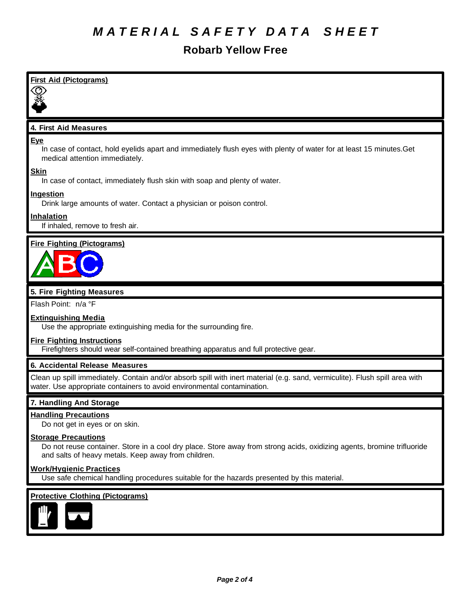### **Robarb Yellow Free**

| <b>First Aid (Pictograms)</b>                                                                                                                                                                               |
|-------------------------------------------------------------------------------------------------------------------------------------------------------------------------------------------------------------|
|                                                                                                                                                                                                             |
|                                                                                                                                                                                                             |
| 4. First Aid Measures                                                                                                                                                                                       |
| <b>Eye</b><br>In case of contact, hold eyelids apart and immediately flush eyes with plenty of water for at least 15 minutes. Get<br>medical attention immediately.                                         |
| <b>Skin</b><br>In case of contact, immediately flush skin with soap and plenty of water.                                                                                                                    |
| <b>Ingestion</b><br>Drink large amounts of water. Contact a physician or poison control.                                                                                                                    |
| <b>Inhalation</b><br>If inhaled, remove to fresh air.                                                                                                                                                       |
| <b>Fire Fighting (Pictograms)</b>                                                                                                                                                                           |
| 5. Fire Fighting Measures                                                                                                                                                                                   |
| Flash Point: n/a °F                                                                                                                                                                                         |
| <b>Extinguishing Media</b><br>Use the appropriate extinguishing media for the surrounding fire.                                                                                                             |
| <b>Fire Fighting Instructions</b><br>Firefighters should wear self-contained breathing apparatus and full protective gear.                                                                                  |
| 6. Accidental Release Measures                                                                                                                                                                              |
| Clean up spill immediately. Contain and/or absorb spill with inert material (e.g. sand, vermiculite). Flush spill area with<br>water. Use appropriate containers to avoid environmental contamination.      |
| 7. Handling And Storage                                                                                                                                                                                     |
| <b>Handling Precautions</b><br>Do not get in eyes or on skin.                                                                                                                                               |
| <b>Storage Precautions</b><br>Do not reuse container. Store in a cool dry place. Store away from strong acids, oxidizing agents, bromine trifluoride<br>and salts of heavy metals. Keep away from children. |

#### **Work/Hygienic Practices**

Use safe chemical handling procedures suitable for the hazards presented by this material.

#### **Protective Clothing (Pictograms)**

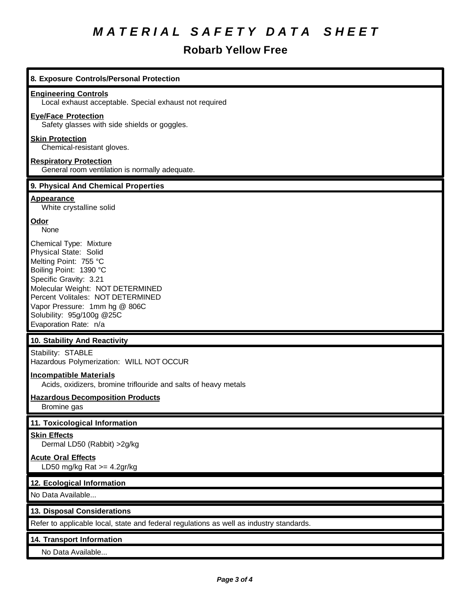## **Robarb Yellow Free**

| 8. Exposure Controls/Personal Protection                                                                                                                                                                                                                                                     |
|----------------------------------------------------------------------------------------------------------------------------------------------------------------------------------------------------------------------------------------------------------------------------------------------|
| <b>Engineering Controls</b><br>Local exhaust acceptable. Special exhaust not required                                                                                                                                                                                                        |
| <b>Eye/Face Protection</b><br>Safety glasses with side shields or goggles.                                                                                                                                                                                                                   |
| <b>Skin Protection</b><br>Chemical-resistant gloves.                                                                                                                                                                                                                                         |
| <b>Respiratory Protection</b><br>General room ventilation is normally adequate.                                                                                                                                                                                                              |
| 9. Physical And Chemical Properties                                                                                                                                                                                                                                                          |
| <b>Appearance</b><br>White crystalline solid                                                                                                                                                                                                                                                 |
| Odor<br>None                                                                                                                                                                                                                                                                                 |
| Chemical Type: Mixture<br>Physical State: Solid<br>Melting Point: 755 °C<br>Boiling Point: 1390 °C<br>Specific Gravity: 3.21<br>Molecular Weight: NOT DETERMINED<br>Percent Volitales: NOT DETERMINED<br>Vapor Pressure: 1mm hg @ 806C<br>Solubility: 95g/100g @25C<br>Evaporation Rate: n/a |
| 10. Stability And Reactivity                                                                                                                                                                                                                                                                 |
| Stability: STABLE<br>Hazardous Polymerization: WILL NOT OCCUR                                                                                                                                                                                                                                |
| <b>Incompatible Materials</b><br>Acids, oxidizers, bromine triflouride and salts of heavy metals                                                                                                                                                                                             |
| <b>Hazardous Decomposition Products</b><br>Bromine gas                                                                                                                                                                                                                                       |
| 11. Toxicological Information                                                                                                                                                                                                                                                                |
| <b>Skin Effects</b><br>Dermal LD50 (Rabbit) > 2g/kg                                                                                                                                                                                                                                          |
| <b>Acute Oral Effects</b><br>LD50 mg/kg Rat $>=$ 4.2gr/kg                                                                                                                                                                                                                                    |
| 12. Ecological Information                                                                                                                                                                                                                                                                   |
| No Data Available                                                                                                                                                                                                                                                                            |
| 13. Disposal Considerations                                                                                                                                                                                                                                                                  |
| Refer to applicable local, state and federal regulations as well as industry standards.                                                                                                                                                                                                      |
| 14. Transport Information                                                                                                                                                                                                                                                                    |
| No Data Available                                                                                                                                                                                                                                                                            |